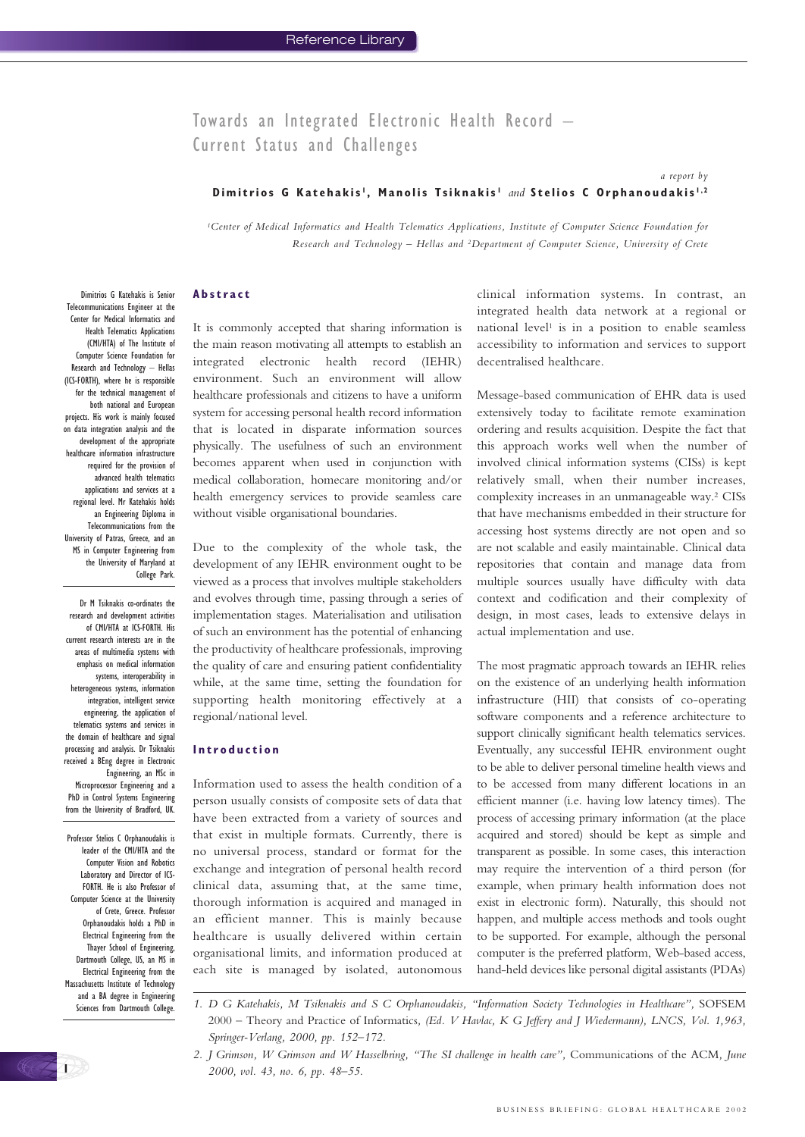Towards an Integrated Electronic Health Record – Current Status and Challenges

# **Dimitrios G Katehakis <sup>1</sup> , Manolis Tsiknakis <sup>1</sup>** *and* **Stelios C Orphanoudakis 1,2**

*1Center of Medical Informatics and Health Telematics Applications, Institute of Computer Science Foundation for Research and Technology – Hellas and 2Department of Computer Science, University of Crete*

#### **Abstract**

Telecommunications Engineer at the Center for Medical Informatics and Health Telematics Applications (CMI/HTA) of The Institute of Computer Science Foundation for Research and Technology – Hellas (ICS-FORTH), where he is responsible for the technical management of both national and European projects. His work is mainly focused on data integration analysis and the development of the appropriate healthcare information infrastructure required for the provision of advanced health telematics applications and services at a regional level. Mr Katehakis holds an Engineering Diploma in Telecommunications from the University of Patras, Greece, and an MS in Computer Engineering from the University of Maryland at College Park.

Dimitrios G Katehakis is Senior

Dr M Tsiknakis co-ordinates the research and development activities of CMI/HTA at ICS-FORTH. His current research interests are in the areas of multimedia systems with emphasis on medical information systems, interoperability in heterogeneous systems, information integration, intelligent service engineering, the application of telematics systems and services in the domain of healthcare and signal processing and analysis. Dr Tsiknakis received a BEng degree in Electronic Engineering, an MSc in Microprocessor Engineering and a PhD in Control Systems Engineering from the University of Bradford, UK.

Professor Stelios C Orphanoudakis is leader of the CMI/HTA and the Computer Vision and Robotics Laboratory and Director of ICS-FORTH. He is also Professor of Computer Science at the University of Crete, Greece. Professor Orphanoudakis holds a PhD in Electrical Engineering from the Thayer School of Engineering, Dartmouth College, US, an MS in Electrical Engineering from the Massachusetts Institute of Technology and a BA degree in Engineering Sciences from Dartmouth College.

**1**

It is commonly accepted that sharing information is the main reason motivating all attempts to establish an integrated electronic health record (IEHR) environment. Such an environment will allow healthcare professionals and citizens to have a uniform system for accessing personal health record information that is located in disparate information sources physically. The usefulness of such an environment becomes apparent when used in conjunction with medical collaboration, homecare monitoring and/or health emergency services to provide seamless care without visible organisational boundaries.

Due to the complexity of the whole task, the development of any IEHR environment ought to be viewed as a process that involves multiple stakeholders and evolves through time, passing through a series of implementation stages. Materialisation and utilisation of such an environment has the potential of enhancing the productivity of healthcare professionals, improving the quality of care and ensuring patient confidentiality while, at the same time, setting the foundation for supporting health monitoring effectively at a regional/national level.

#### **Introduction**

Information used to assess the health condition of a person usually consists of composite sets of data that have been extracted from a variety of sources and that exist in multiple formats. Currently, there is no universal process, standard or format for the exchange and integration of personal health record clinical data, assuming that, at the same time, thorough information is acquired and managed in an efficient manner. This is mainly because healthcare is usually delivered within certain organisational limits, and information produced at each site is managed by isolated, autonomous

clinical information systems. In contrast, an integrated health data network at a regional or national level<sup>1</sup> is in a position to enable seamless accessibility to information and services to support decentralised healthcare.

*a report by* 

Message-based communication of EHR data is used extensively today to facilitate remote examination ordering and results acquisition. Despite the fact that this approach works well when the number of involved clinical information systems (CISs) is kept relatively small, when their number increases, complexity increases in an unmanageable way.2 CISs that have mechanisms embedded in their structure for accessing host systems directly are not open and so are not scalable and easily maintainable. Clinical data repositories that contain and manage data from multiple sources usually have difficulty with data context and codification and their complexity of design, in most cases, leads to extensive delays in actual implementation and use.

The most pragmatic approach towards an IEHR relies on the existence of an underlying health information infrastructure (HII) that consists of co-operating software components and a reference architecture to support clinically significant health telematics services. Eventually, any successful IEHR environment ought to be able to deliver personal timeline health views and to be accessed from many different locations in an efficient manner (i.e. having low latency times). The process of accessing primary information (at the place acquired and stored) should be kept as simple and transparent as possible. In some cases, this interaction may require the intervention of a third person (for example, when primary health information does not exist in electronic form). Naturally, this should not happen, and multiple access methods and tools ought to be supported. For example, although the personal computer is the preferred platform, Web-based access, hand-held devices like personal digital assistants (PDAs)

*<sup>1.</sup> D G Katehakis, M Tsiknakis and S C Orphanoudakis, "Information Society Technologies in Healthcare",* SOFSEM 2000 – Theory and Practice of Informatics*, (Ed. V Havlac, K G Jeffery and J Wiedermann), LNCS, Vol. 1,963, Springer-Verlang, 2000, pp. 152–172.*

*<sup>2.</sup> J Grimson, W Grimson and W Hasselbring, "The SI challenge in health care",* Communications of the ACM*, June 2000, vol. 43, no. 6, pp. 48–55.*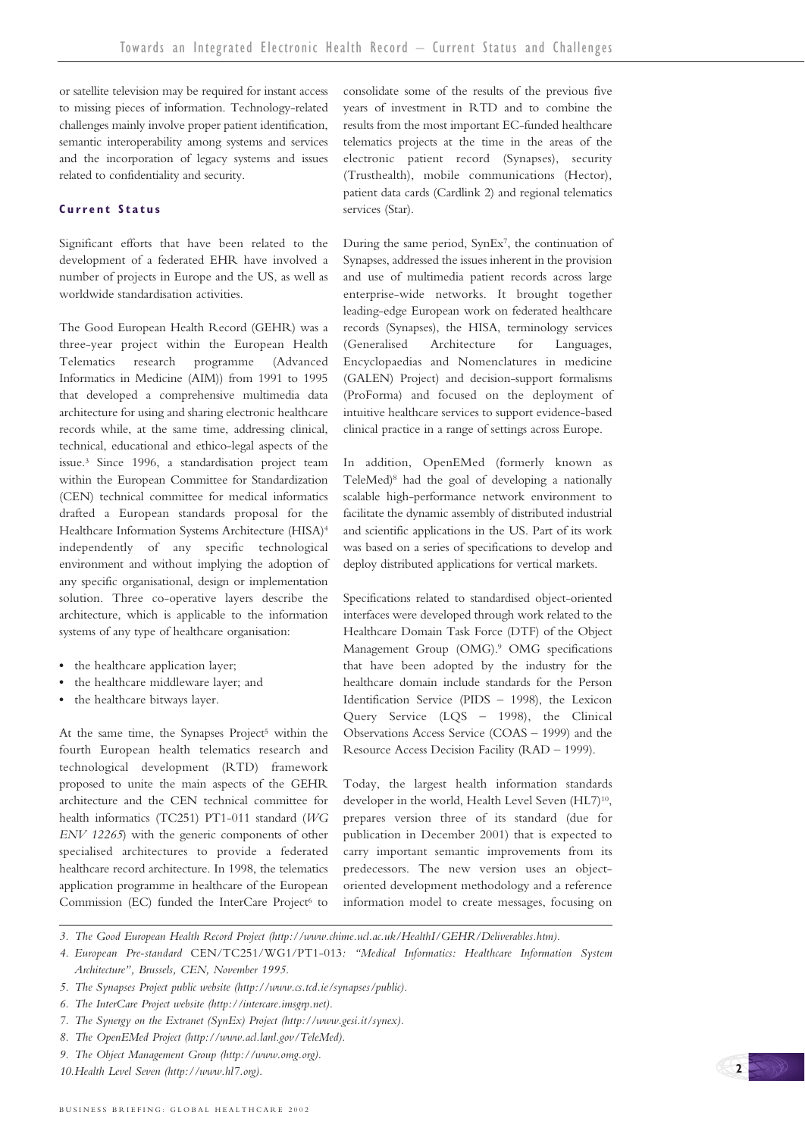or satellite television may be required for instant access to missing pieces of information. Technology-related challenges mainly involve proper patient identification, semantic interoperability among systems and services and the incorporation of legacy systems and issues related to confidentiality and security.

#### **Current Status**

Significant efforts that have been related to the development of a federated EHR have involved a number of projects in Europe and the US, as well as worldwide standardisation activities.

The Good European Health Record (GEHR) was a three-year project within the European Health Telematics research programme (Advanced Informatics in Medicine (AIM)) from 1991 to 1995 that developed a comprehensive multimedia data architecture for using and sharing electronic healthcare records while, at the same time, addressing clinical, technical, educational and ethico-legal aspects of the issue.3 Since 1996, a standardisation project team within the European Committee for Standardization (CEN) technical committee for medical informatics drafted a European standards proposal for the Healthcare Information Systems Architecture (HISA)4 independently of any specific technological environment and without implying the adoption of any specific organisational, design or implementation solution. Three co-operative layers describe the architecture, which is applicable to the information systems of any type of healthcare organisation:

- **•** the healthcare application layer;
- **•** the healthcare middleware layer; and
- **•** the healthcare bitways layer.

At the same time, the Synapses Project<sup>5</sup> within the fourth European health telematics research and technological development (RTD) framework proposed to unite the main aspects of the GEHR architecture and the CEN technical committee for health informatics (TC251) PT1-011 standard (*WG ENV 12265*) with the generic components of other specialised architectures to provide a federated healthcare record architecture. In 1998, the telematics application programme in healthcare of the European Commission (EC) funded the InterCare Project<sup>6</sup> to

consolidate some of the results of the previous five years of investment in RTD and to combine the results from the most important EC-funded healthcare telematics projects at the time in the areas of the electronic patient record (Synapses), security (Trusthealth), mobile communications (Hector), patient data cards (Cardlink 2) and regional telematics services (Star).

During the same period, SynEx7, the continuation of Synapses, addressed the issues inherent in the provision and use of multimedia patient records across large enterprise-wide networks. It brought together leading-edge European work on federated healthcare records (Synapses), the HISA, terminology services (Generalised Architecture for Languages, Encyclopaedias and Nomenclatures in medicine (GALEN) Project) and decision-support formalisms (ProForma) and focused on the deployment of intuitive healthcare services to support evidence-based clinical practice in a range of settings across Europe.

In addition, OpenEMed (formerly known as TeleMed)8 had the goal of developing a nationally scalable high-performance network environment to facilitate the dynamic assembly of distributed industrial and scientific applications in the US. Part of its work was based on a series of specifications to develop and deploy distributed applications for vertical markets.

Specifications related to standardised object-oriented interfaces were developed through work related to the Healthcare Domain Task Force (DTF) of the Object Management Group (OMG).9 OMG specifications that have been adopted by the industry for the healthcare domain include standards for the Person Identification Service (PIDS – 1998), the Lexicon Query Service (LQS – 1998), the Clinical Observations Access Service (COAS – 1999) and the Resource Access Decision Facility (RAD – 1999).

Today, the largest health information standards developer in the world, Health Level Seven (HL7)<sup>10</sup>, prepares version three of its standard (due for publication in December 2001) that is expected to carry important semantic improvements from its predecessors. The new version uses an objectoriented development methodology and a reference information model to create messages, focusing on

*10.Health Level Seven (http://www.hl7.org).*

*<sup>3.</sup> The Good European Health Record Project (http://www.chime.ucl.ac.uk/HealthI/GEHR/Deliverables.htm).*

*<sup>4.</sup> European Pre-standard* CEN/TC251/WG1/PT1-013*: "Medical Informatics: Healthcare Information System Architecture", Brussels, CEN, November 1995.*

*<sup>5.</sup> The Synapses Project public website (http://www.cs.tcd.ie/synapses/public).*

*<sup>6.</sup> The InterCare Project website (http://intercare.imsgrp.net).*

*<sup>7.</sup> The Synergy on the Extranet (SynEx) Project (http://www.gesi.it/synex).*

*<sup>8.</sup> The OpenEMed Project (http://www.acl.lanl.gov/TeleMed).*

*<sup>9.</sup> The Object Management Group (http://www.omg.org).*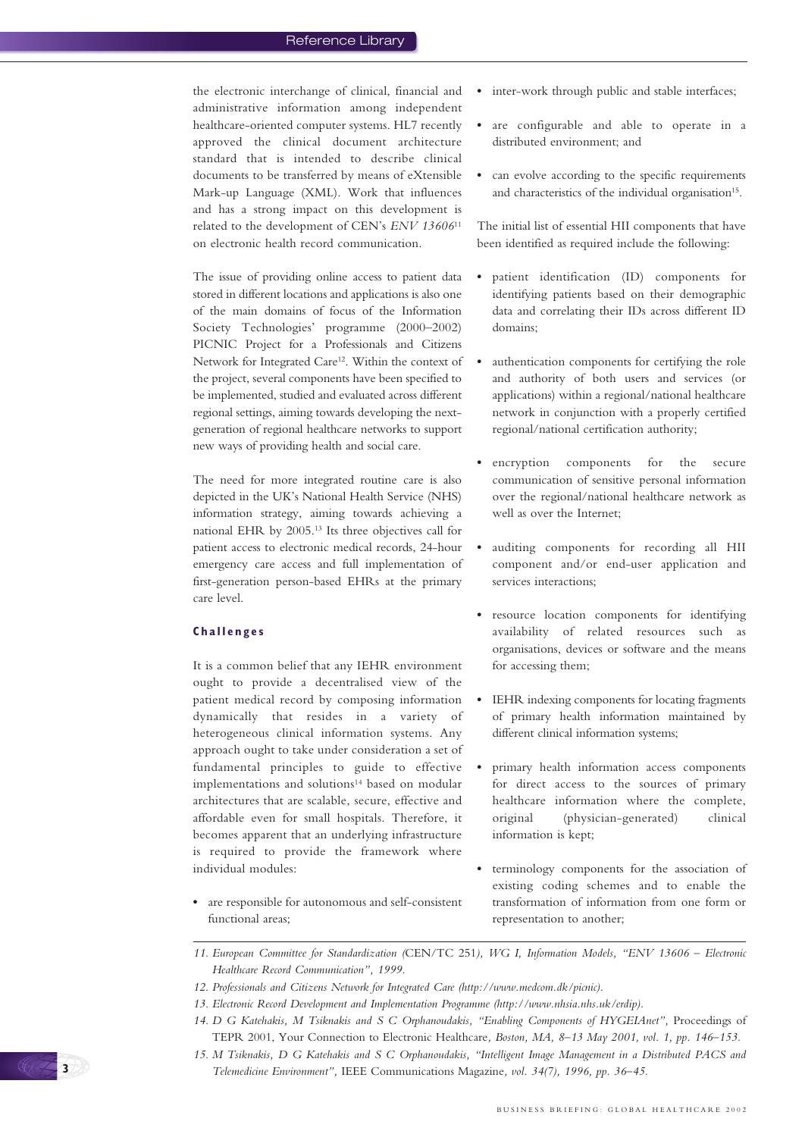the electronic interchange of clinical, financial and administrative information among independent healthcare-oriented computer systems. HL7 recently approved the clinical document architecture standard that is intended to describe clinical documents to be transferred by means of eXtensible Mark-up Language (XML). Work that influences and has a strong impact on this development is related to the development of CEN's *ENV 13606*<sup>11</sup> on electronic health record communication.

The issue of providing online access to patient data stored in different locations and applications is also one of the main domains of focus of the Information Society Technologies' programme (2000–2002) PICNIC Project for a Professionals and Citizens Network for Integrated Care<sup>12</sup>. Within the context of the project, several components have been specified to be implemented, studied and evaluated across different regional settings, aiming towards developing the nextgeneration of regional healthcare networks to support new ways of providing health and social care.

The need for more integrated routine care is also depicted in the UK's National Health Service (NHS) information strategy, aiming towards achieving a national EHR by 2005.13 Its three objectives call for patient access to electronic medical records, 24-hour emergency care access and full implementation of first-generation person-based EHRs at the primary care level.

### **Challenges**

It is a common belief that any IEHR environment ought to provide a decentralised view of the patient medical record by composing information dynamically that resides in a variety of heterogeneous clinical information systems. Any approach ought to take under consideration a set of fundamental principles to guide to effective implementations and solutions<sup>14</sup> based on modular architectures that are scalable, secure, effective and affordable even for small hospitals. Therefore, it becomes apparent that an underlying infrastructure is required to provide the framework where individual modules:

**•** are responsible for autonomous and self-consistent functional areas;

- **•** inter-work through public and stable interfaces;
- **•** are configurable and able to operate in a distributed environment; and
- **•** can evolve according to the specific requirements and characteristics of the individual organisation<sup>15</sup>.

The initial list of essential HII components that have been identified as required include the following:

- **•** patient identification (ID) components for identifying patients based on their demographic data and correlating their IDs across different ID domains;
- **•** authentication components for certifying the role and authority of both users and services (or applications) within a regional/national healthcare network in conjunction with a properly certified regional/national certification authority;
- **•** encryption components for the secure communication of sensitive personal information over the regional/national healthcare network as well as over the Internet;
- **•** auditing components for recording all HII component and/or end-user application and services interactions;
- **•** resource location components for identifying availability of related resources such as organisations, devices or software and the means for accessing them;
- **•** IEHR indexing components for locating fragments of primary health information maintained by different clinical information systems;
- **•** primary health information access components for direct access to the sources of primary healthcare information where the complete, original (physician-generated) clinical information is kept;
- **•** terminology components for the association of existing coding schemes and to enable the transformation of information from one form or representation to another;



*<sup>11.</sup> European Committee for Standardization (*CEN/TC 251*), WG I, Information Models, "ENV 13606 – Electronic Healthcare Record Communication", 1999.*

*<sup>12.</sup> Professionals and Citizens Network for Integrated Care (http://www.medcom.dk/picnic).*

*<sup>13.</sup> Electronic Record Development and Implementation Programme (http://www.nhsia.nhs.uk/erdip).*

<sup>14.</sup> D G Katehakis, M Tsiknakis and S C Orphanoudakis, "Enabling Components of HYGEIAnet", Proceedings of TEPR 2001, Your Connection to Electronic Healthcare*, Boston, MA, 8–13 May 2001, vol. 1, pp. 146–153.*

*<sup>15.</sup> M Tsiknakis, D G Katehakis and S C Orphanoudakis, "Intelligent Image Management in a Distributed PACS and Telemedicine Environment",* IEEE Communications Magazine*, vol. 34(7), 1996, pp. 36–45.*